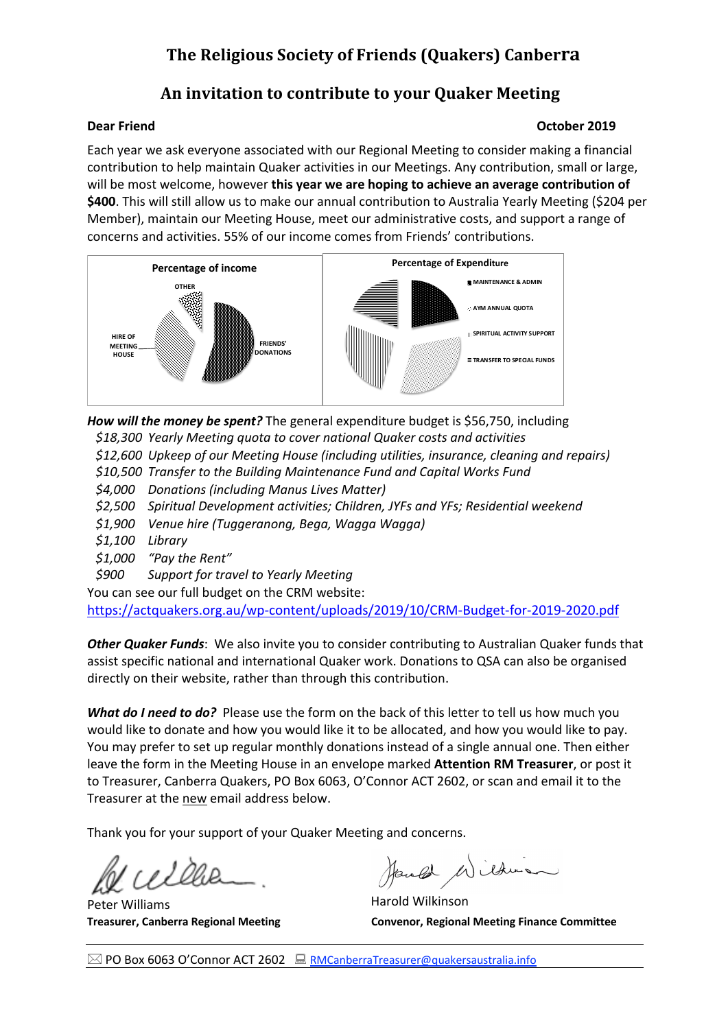## **The Religious Society of Friends (Quakers) Canberra**

## An invitation to contribute to your Quaker Meeting

### **Dear Friend Contract Contract Contract Contract Contract Contract Contract Contract Contract Contract Contract Contract Contract Contract Contract Contract Contract Contract Contract Contract Contract Contract Contract Co**

Each year we ask everyone associated with our Regional Meeting to consider making a financial contribution to help maintain Quaker activities in our Meetings. Any contribution, small or large, will be most welcome, however **this year we are hoping to achieve an average contribution of \$400**. This will still allow us to make our annual contribution to Australia Yearly Meeting (\$204 per Member), maintain our Meeting House, meet our administrative costs, and support a range of concerns and activities. 55% of our income comes from Friends' contributions.



*How will the money be spent?* The general expenditure budget is \$56,750, including

*\$18,300 Yearly Meeting quota to cover national Quaker costs and activities*

*\$12,600 Upkeep of our Meeting House (including utilities, insurance, cleaning and repairs)*

*\$10,500 Transfer to the Building Maintenance Fund and Capital Works Fund*

*\$4,000 Donations (including Manus Lives Matter)*

*\$2,500 Spiritual Development activities; Children, JYFs and YFs; Residential weekend*

*\$1,900 Venue hire (Tuggeranong, Bega, Wagga Wagga)*

- *\$1,100 Library*
- *\$1,000 "Pay the Rent"*

*\$900 Support for travel to Yearly Meeting*

You can see our full budget on the CRM website:

https://actquakers.org.au/wp-content/uploads/2019/10/CRM-Budget-for-2019-2020.pdf

*Other Quaker Funds*: We also invite you to consider contributing to Australian Quaker funds that assist specific national and international Quaker work. Donations to QSA can also be organised directly on their website, rather than through this contribution.

*What do I need to do?* Please use the form on the back of this letter to tell us how much you would like to donate and how you would like it to be allocated, and how you would like to pay. You may prefer to set up regular monthly donations instead of a single annual one. Then either leave the form in the Meeting House in an envelope marked **Attention RM Treasurer**, or post it to Treasurer, Canberra Quakers, PO Box 6063, O'Connor ACT 2602, or scan and email it to the Treasurer at the new email address below.

Thank you for your support of your Quaker Meeting and concerns.

Peter Williams **Harold Wilkinson** 

Handel Mildrie

**Treasurer, Canberra Regional Meeting Convenor, Regional Meeting Finance Committee**